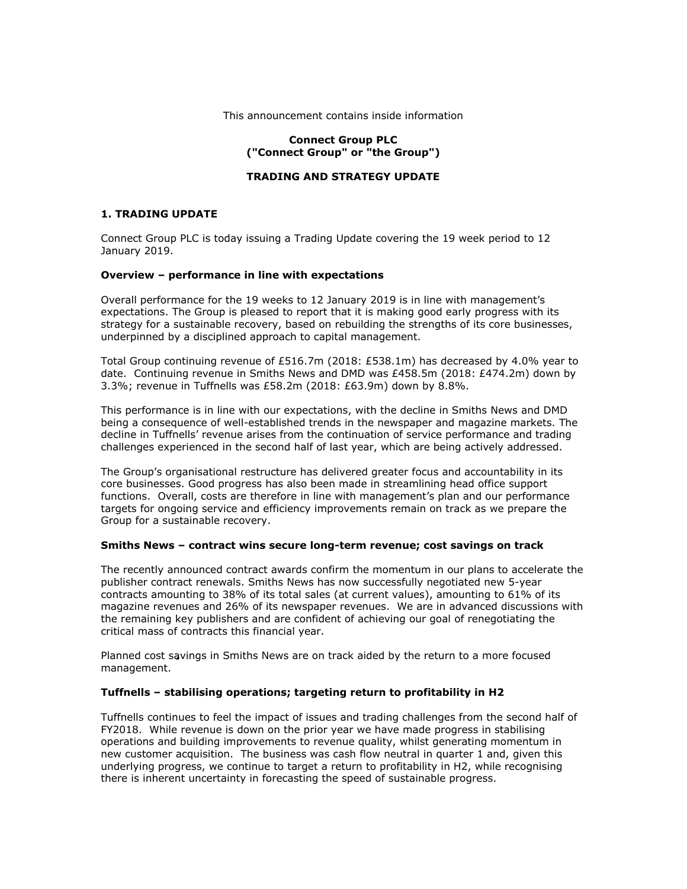#### This announcement contains inside information

# **Connect Group PLC ("Connect Group" or "the Group")**

## **TRADING AND STRATEGY UPDATE**

## **1. TRADING UPDATE**

Connect Group PLC is today issuing a Trading Update covering the 19 week period to 12 January 2019.

### **Overview – performance in line with expectations**

Overall performance for the 19 weeks to 12 January 2019 is in line with management's expectations. The Group is pleased to report that it is making good early progress with its strategy for a sustainable recovery, based on rebuilding the strengths of its core businesses, underpinned by a disciplined approach to capital management.

Total Group continuing revenue of £516.7m (2018: £538.1m) has decreased by 4.0% year to date. Continuing revenue in Smiths News and DMD was £458.5m (2018: £474.2m) down by 3.3%; revenue in Tuffnells was £58.2m (2018: £63.9m) down by 8.8%.

This performance is in line with our expectations, with the decline in Smiths News and DMD being a consequence of well-established trends in the newspaper and magazine markets. The decline in Tuffnells' revenue arises from the continuation of service performance and trading challenges experienced in the second half of last year, which are being actively addressed.

The Group's organisational restructure has delivered greater focus and accountability in its core businesses. Good progress has also been made in streamlining head office support functions. Overall, costs are therefore in line with management's plan and our performance targets for ongoing service and efficiency improvements remain on track as we prepare the Group for a sustainable recovery.

### **Smiths News – contract wins secure long-term revenue; cost savings on track**

The recently announced contract awards confirm the momentum in our plans to accelerate the publisher contract renewals. Smiths News has now successfully negotiated new 5-year contracts amounting to 38% of its total sales (at current values), amounting to 61% of its magazine revenues and 26% of its newspaper revenues. We are in advanced discussions with the remaining key publishers and are confident of achieving our goal of renegotiating the critical mass of contracts this financial year.

Planned cost savings in Smiths News are on track aided by the return to a more focused management.

## **Tuffnells – stabilising operations; targeting return to profitability in H2**

Tuffnells continues to feel the impact of issues and trading challenges from the second half of FY2018. While revenue is down on the prior year we have made progress in stabilising operations and building improvements to revenue quality, whilst generating momentum in new customer acquisition. The business was cash flow neutral in quarter 1 and, given this underlying progress, we continue to target a return to profitability in H2, while recognising there is inherent uncertainty in forecasting the speed of sustainable progress.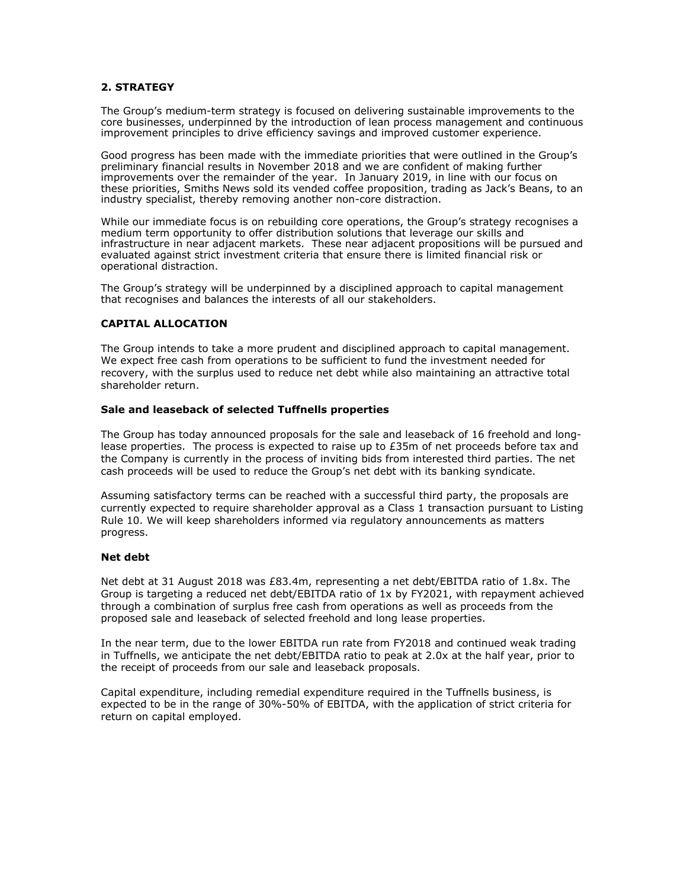# **2. STRATEGY**

The Group's medium-term strategy is focused on delivering sustainable improvements to the core businesses, underpinned by the introduction of lean process management and continuous improvement principles to drive efficiency savings and improved customer experience.

Good progress has been made with the immediate priorities that were outlined in the Group's preliminary financial results in November 2018 and we are confident of making further improvements over the remainder of the year. In January 2019, in line with our focus on these priorities, Smiths News sold its vended coffee proposition, trading as Jack's Beans, to an industry specialist, thereby removing another non-core distraction.

While our immediate focus is on rebuilding core operations, the Group's strategy recognises a medium term opportunity to offer distribution solutions that leverage our skills and infrastructure in near adjacent markets. These near adjacent propositions will be pursued and evaluated against strict investment criteria that ensure there is limited financial risk or operational distraction.

The Group's strategy will be underpinned by a disciplined approach to capital management that recognises and balances the interests of all our stakeholders.

### **CAPITAL ALLOCATION**

The Group intends to take a more prudent and disciplined approach to capital management. We expect free cash from operations to be sufficient to fund the investment needed for recovery, with the surplus used to reduce net debt while also maintaining an attractive total shareholder return.

### **Sale and leaseback of selected Tuffnells properties**

The Group has today announced proposals for the sale and leaseback of 16 freehold and longlease properties. The process is expected to raise up to  $E35m$  of net proceeds before tax and the Company is currently in the process of inviting bids from interested third parties. The net cash proceeds will be used to reduce the Group's net debt with its banking syndicate.

Assuming satisfactory terms can be reached with a successful third party, the proposals are currently expected to require shareholder approval as a Class 1 transaction pursuant to Listing Rule 10. We will keep shareholders informed via regulatory announcements as matters progress.

### **Net debt**

Net debt at 31 August 2018 was £83.4m, representing a net debt/EBITDA ratio of 1.8x. The Group is targeting a reduced net debt/EBITDA ratio of 1x by FY2021, with repayment achieved through a combination of surplus free cash from operations as well as proceeds from the proposed sale and leaseback of selected freehold and long lease properties.

In the near term, due to the lower EBITDA run rate from FY2018 and continued weak trading in Tuffnells, we anticipate the net debt/EBITDA ratio to peak at 2.0x at the half year, prior to the receipt of proceeds from our sale and leaseback proposals.

Capital expenditure, including remedial expenditure required in the Tuffnells business, is expected to be in the range of 30%-50% of EBITDA, with the application of strict criteria for return on capital employed.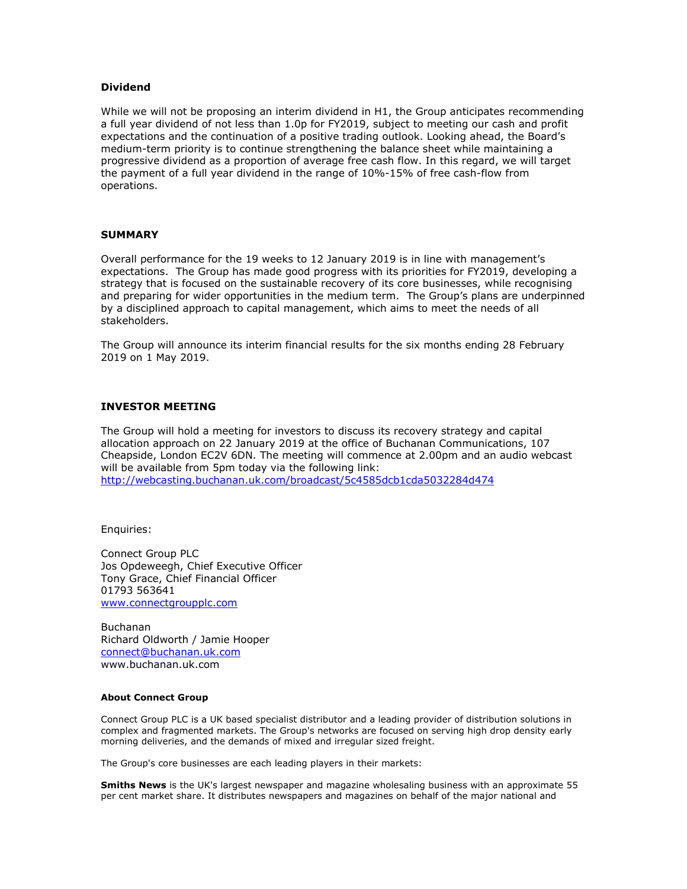## **Dividend**

While we will not be proposing an interim dividend in H1, the Group anticipates recommending a full year dividend of not less than 1.0p for FY2019, subject to meeting our cash and profit expectations and the continuation of a positive trading outlook. Looking ahead, the Board's medium-term priority is to continue strengthening the balance sheet while maintaining a progressive dividend as a proportion of average free cash flow. In this regard, we will target the payment of a full year dividend in the range of 10%-15% of free cash-flow from operations.

#### **SUMMARY**

Overall performance for the 19 weeks to 12 January 2019 is in line with management's expectations. The Group has made good progress with its priorities for FY2019, developing a strategy that is focused on the sustainable recovery of its core businesses, while recognising and preparing for wider opportunities in the medium term. The Group's plans are underpinned by a disciplined approach to capital management, which aims to meet the needs of all stakeholders.

The Group will announce its interim financial results for the six months ending 28 February 2019 on 1 May 2019.

## **INVESTOR MEETING**

The Group will hold a meeting for investors to discuss its recovery strategy and capital allocation approach on 22 January 2019 at the office of Buchanan Communications, 107 Cheapside, London EC2V 6DN. The meeting will commence at 2.00pm and an audio webcast will be available from 5pm today via the following link: <http://webcasting.buchanan.uk.com/broadcast/5c4585dcb1cda5032284d474>

Enquiries:

Connect Group PLC Jos Opdeweegh, Chief Executive Officer Tony Grace, Chief Financial Officer 01793 563641 [www.connectgroupplc.com](http://www.connectgroupplc.com/)

Buchanan Richard Oldworth / Jamie Hooper [connect@buchanan.uk.com](mailto:connect@buchanan.uk.com) www.buchanan.uk.com

#### **About Connect Group**

Connect Group PLC is a UK based specialist distributor and a leading provider of distribution solutions in complex and fragmented markets. The Group's networks are focused on serving high drop density early morning deliveries, and the demands of mixed and irregular sized freight.

The Group's core businesses are each leading players in their markets:

**Smiths News** is the UK's largest newspaper and magazine wholesaling business with an approximate 55 per cent market share. It distributes newspapers and magazines on behalf of the major national and